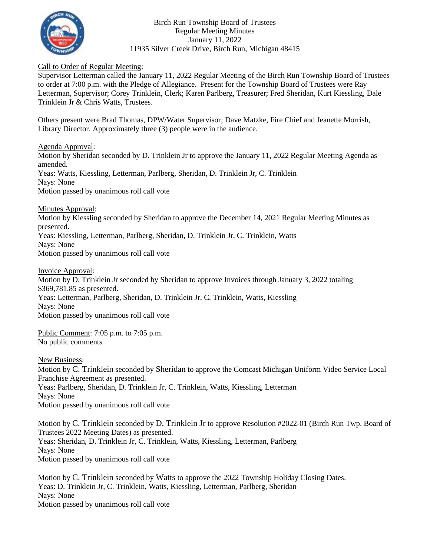

Birch Run Township Board of Trustees Regular Meeting Minutes January 11, 2022 11935 Silver Creek Drive, Birch Run, Michigan 48415

## Call to Order of Regular Meeting:

Supervisor Letterman called the January 11, 2022 Regular Meeting of the Birch Run Township Board of Trustees to order at 7:00 p.m. with the Pledge of Allegiance. Present for the Township Board of Trustees were Ray Letterman, Supervisor; Corey Trinklein, Clerk; Karen Parlberg, Treasurer; Fred Sheridan, Kurt Kiessling, Dale Trinklein Jr & Chris Watts, Trustees.

Others present were Brad Thomas, DPW/Water Supervisor; Dave Matzke, Fire Chief and Jeanette Morrish, Library Director. Approximately three (3) people were in the audience.

Agenda Approval:

Motion by Sheridan seconded by D. Trinklein Jr to approve the January 11, 2022 Regular Meeting Agenda as amended. Yeas: Watts, Kiessling, Letterman, Parlberg, Sheridan, D. Trinklein Jr, C. Trinklein Nays: None Motion passed by unanimous roll call vote

Minutes Approval:

Motion by Kiessling seconded by Sheridan to approve the December 14, 2021 Regular Meeting Minutes as presented. Yeas: Kiessling, Letterman, Parlberg, Sheridan, D. Trinklein Jr, C. Trinklein, Watts Nays: None

Motion passed by unanimous roll call vote

Invoice Approval:

Motion by D. Trinklein Jr seconded by Sheridan to approve Invoices through January 3, 2022 totaling \$369,781.85 as presented. Yeas: Letterman, Parlberg, Sheridan, D. Trinklein Jr, C. Trinklein, Watts, Kiessling Nays: None Motion passed by unanimous roll call vote

Public Comment: 7:05 p.m. to 7:05 p.m. No public comments

New Business:

Motion by C. Trinklein seconded by Sheridan to approve the Comcast Michigan Uniform Video Service Local Franchise Agreement as presented. Yeas: Parlberg, Sheridan, D. Trinklein Jr, C. Trinklein, Watts, Kiessling, Letterman Nays: None Motion passed by unanimous roll call vote

Motion by C. Trinklein seconded by D. Trinklein Jr to approve Resolution #2022-01 (Birch Run Twp. Board of Trustees 2022 Meeting Dates) as presented. Yeas: Sheridan, D. Trinklein Jr, C. Trinklein, Watts, Kiessling, Letterman, Parlberg Nays: None Motion passed by unanimous roll call vote

Motion by C. Trinklein seconded by Watts to approve the 2022 Township Holiday Closing Dates. Yeas: D. Trinklein Jr, C. Trinklein, Watts, Kiessling, Letterman, Parlberg, Sheridan Nays: None Motion passed by unanimous roll call vote